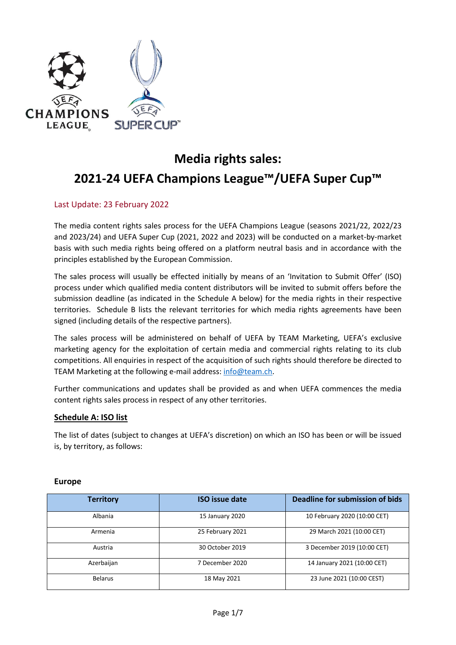

# **Media rights sales: 2021-24 UEFA Champions League™/UEFA Super Cup™**

## Last Update: 23 February 2022

The media content rights sales process for the UEFA Champions League (seasons 2021/22, 2022/23 and 2023/24) and UEFA Super Cup (2021, 2022 and 2023) will be conducted on a market-by-market basis with such media rights being offered on a platform neutral basis and in accordance with the principles established by the European Commission.

The sales process will usually be effected initially by means of an 'Invitation to Submit Offer' (ISO) process under which qualified media content distributors will be invited to submit offers before the submission deadline (as indicated in the Schedule A below) for the media rights in their respective territories. Schedule B lists the relevant territories for which media rights agreements have been signed (including details of the respective partners).

The sales process will be administered on behalf of UEFA by TEAM Marketing, UEFA's exclusive marketing agency for the exploitation of certain media and commercial rights relating to its club competitions. All enquiries in respect of the acquisition of such rights should therefore be directed to TEAM Marketing at the following e-mail address: [info@team.ch.](mailto:info@team.ch)

Further communications and updates shall be provided as and when UEFA commences the media content rights sales process in respect of any other territories.

#### **Schedule A: ISO list**

The list of dates (subject to changes at UEFA's discretion) on which an ISO has been or will be issued is, by territory, as follows:

#### **Europe**

| <b>Territory</b> | <b>ISO</b> issue date | <b>Deadline for submission of bids</b> |
|------------------|-----------------------|----------------------------------------|
| Albania          | 15 January 2020       | 10 February 2020 (10:00 CET)           |
| Armenia          | 25 February 2021      | 29 March 2021 (10:00 CET)              |
| Austria          | 30 October 2019       | 3 December 2019 (10:00 CET)            |
| Azerbaijan       | 7 December 2020       | 14 January 2021 (10:00 CET)            |
| <b>Belarus</b>   | 18 May 2021           | 23 June 2021 (10:00 CEST)              |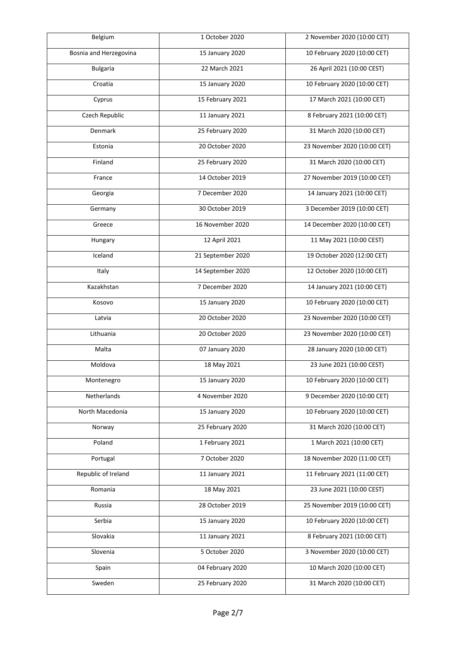| Belgium                | 1 October 2020    | 2 November 2020 (10:00 CET)  |
|------------------------|-------------------|------------------------------|
| Bosnia and Herzegovina | 15 January 2020   | 10 February 2020 (10:00 CET) |
| <b>Bulgaria</b>        | 22 March 2021     | 26 April 2021 (10:00 CEST)   |
| Croatia                | 15 January 2020   | 10 February 2020 (10:00 CET) |
| Cyprus                 | 15 February 2021  | 17 March 2021 (10:00 CET)    |
| Czech Republic         | 11 January 2021   | 8 February 2021 (10:00 CET)  |
| Denmark                | 25 February 2020  | 31 March 2020 (10:00 CET)    |
| Estonia                | 20 October 2020   | 23 November 2020 (10:00 CET) |
| Finland                | 25 February 2020  | 31 March 2020 (10:00 CET)    |
| France                 | 14 October 2019   | 27 November 2019 (10:00 CET) |
| Georgia                | 7 December 2020   | 14 January 2021 (10:00 CET)  |
| Germany                | 30 October 2019   | 3 December 2019 (10:00 CET)  |
| Greece                 | 16 November 2020  | 14 December 2020 (10:00 CET) |
| Hungary                | 12 April 2021     | 11 May 2021 (10:00 CEST)     |
| Iceland                | 21 September 2020 | 19 October 2020 (12:00 CET)  |
| Italy                  | 14 September 2020 | 12 October 2020 (10:00 CET)  |
| Kazakhstan             | 7 December 2020   | 14 January 2021 (10:00 CET)  |
| Kosovo                 | 15 January 2020   | 10 February 2020 (10:00 CET) |
| Latvia                 | 20 October 2020   | 23 November 2020 (10:00 CET) |
| Lithuania              | 20 October 2020   | 23 November 2020 (10:00 CET) |
| Malta                  | 07 January 2020   | 28 January 2020 (10:00 CET)  |
| Moldova                | 18 May 2021       | 23 June 2021 (10:00 CEST)    |
| Montenegro             | 15 January 2020   | 10 February 2020 (10:00 CET) |
| Netherlands            | 4 November 2020   | 9 December 2020 (10:00 CET)  |
| North Macedonia        | 15 January 2020   | 10 February 2020 (10:00 CET) |
| Norway                 | 25 February 2020  | 31 March 2020 (10:00 CET)    |
| Poland                 | 1 February 2021   | 1 March 2021 (10:00 CET)     |
| Portugal               | 7 October 2020    | 18 November 2020 (11:00 CET) |
| Republic of Ireland    | 11 January 2021   | 11 February 2021 (11:00 CET) |
| Romania                | 18 May 2021       | 23 June 2021 (10:00 CEST)    |
| Russia                 | 28 October 2019   | 25 November 2019 (10:00 CET) |
| Serbia                 | 15 January 2020   | 10 February 2020 (10:00 CET) |
| Slovakia               | 11 January 2021   | 8 February 2021 (10:00 CET)  |
| Slovenia               | 5 October 2020    | 3 November 2020 (10:00 CET)  |
| Spain                  | 04 February 2020  | 10 March 2020 (10:00 CET)    |
| Sweden                 | 25 February 2020  | 31 March 2020 (10:00 CET)    |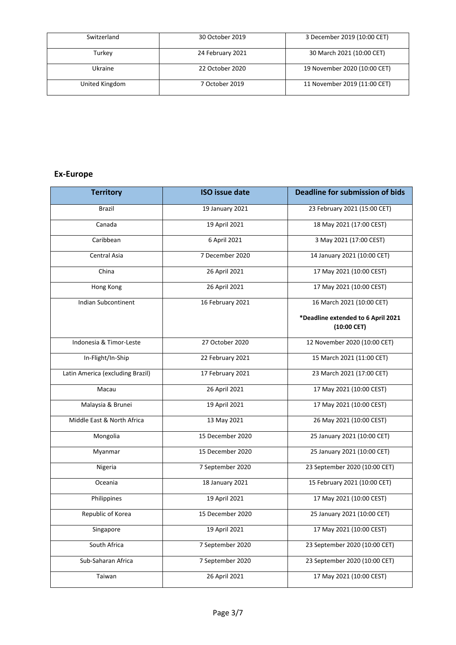| Switzerland    | 30 October 2019  | 3 December 2019 (10:00 CET)  |
|----------------|------------------|------------------------------|
| Turkey         | 24 February 2021 | 30 March 2021 (10:00 CET)    |
| <b>Ukraine</b> | 22 October 2020  | 19 November 2020 (10:00 CET) |
| United Kingdom | 7 October 2019   | 11 November 2019 (11:00 CET) |

# **Ex-Europe**

| <b>Territory</b>                 | <b>ISO issue date</b> | <b>Deadline for submission of bids</b>              |
|----------------------------------|-----------------------|-----------------------------------------------------|
| Brazil                           | 19 January 2021       | 23 February 2021 (15:00 CET)                        |
| Canada                           | 19 April 2021         | 18 May 2021 (17:00 CEST)                            |
| Caribbean                        | 6 April 2021          | 3 May 2021 (17:00 CEST)                             |
| Central Asia                     | 7 December 2020       | 14 January 2021 (10:00 CET)                         |
| China                            | 26 April 2021         | 17 May 2021 (10:00 CEST)                            |
| Hong Kong                        | 26 April 2021         | 17 May 2021 (10:00 CEST)                            |
| <b>Indian Subcontinent</b>       | 16 February 2021      | 16 March 2021 (10:00 CET)                           |
|                                  |                       | *Deadline extended to 6 April 2021<br>$(10:00$ CET) |
| Indonesia & Timor-Leste          | 27 October 2020       | 12 November 2020 (10:00 CET)                        |
| In-Flight/In-Ship                | 22 February 2021      | 15 March 2021 (11:00 CET)                           |
| Latin America (excluding Brazil) | 17 February 2021      | 23 March 2021 (17:00 CET)                           |
| Macau                            | 26 April 2021         | 17 May 2021 (10:00 CEST)                            |
| Malaysia & Brunei                | 19 April 2021         | 17 May 2021 (10:00 CEST)                            |
| Middle East & North Africa       | 13 May 2021           | 26 May 2021 (10:00 CEST)                            |
| Mongolia                         | 15 December 2020      | 25 January 2021 (10:00 CET)                         |
| Myanmar                          | 15 December 2020      | 25 January 2021 (10:00 CET)                         |
| Nigeria                          | 7 September 2020      | 23 September 2020 (10:00 CET)                       |
| Oceania                          | 18 January 2021       | 15 February 2021 (10:00 CET)                        |
| Philippines                      | 19 April 2021         | 17 May 2021 (10:00 CEST)                            |
| Republic of Korea                | 15 December 2020      | 25 January 2021 (10:00 CET)                         |
| Singapore                        | 19 April 2021         | 17 May 2021 (10:00 CEST)                            |
| South Africa                     | 7 September 2020      | 23 September 2020 (10:00 CET)                       |
| Sub-Saharan Africa               | 7 September 2020      | 23 September 2020 (10:00 CET)                       |
| Taiwan                           | 26 April 2021         | 17 May 2021 (10:00 CEST)                            |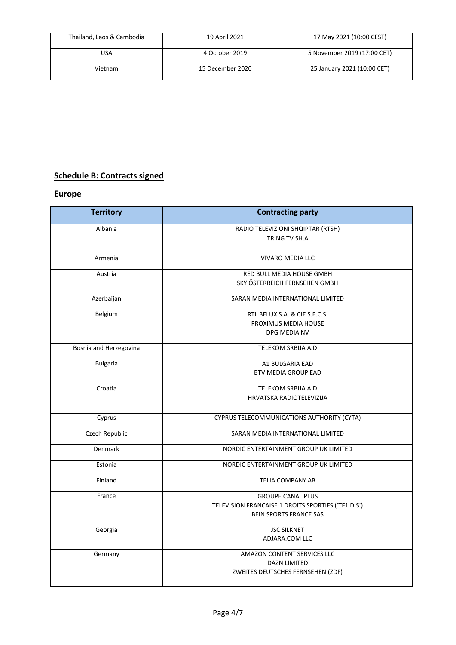| Thailand, Laos & Cambodia | 19 April 2021    | 17 May 2021 (10:00 CEST)    |
|---------------------------|------------------|-----------------------------|
| USA                       | 4 October 2019   | 5 November 2019 (17:00 CET) |
| Vietnam                   | 15 December 2020 | 25 January 2021 (10:00 CET) |

# **Schedule B: Contracts signed**

## **Europe**

| <b>Territory</b>       | <b>Contracting party</b>                           |
|------------------------|----------------------------------------------------|
| Albania                | RADIO TELEVIZIONI SHQIPTAR (RTSH)                  |
|                        | TRING TV SH.A                                      |
|                        |                                                    |
| Armenia                | <b>VIVARO MEDIA LLC</b>                            |
| Austria                | RED BULL MEDIA HOUSE GMBH                          |
|                        | SKY ÖSTERREICH FERNSEHEN GMBH                      |
| Azerbaijan             | SARAN MEDIA INTERNATIONAL LIMITED                  |
| Belgium                | RTL BELUX S.A. & CIE S.E.C.S.                      |
|                        | PROXIMUS MEDIA HOUSE                               |
|                        | DPG MEDIA NV                                       |
| Bosnia and Herzegovina | <b>TELEKOM SRBIJA A.D</b>                          |
| <b>Bulgaria</b>        | A1 BULGARIA EAD                                    |
|                        | <b>BTV MEDIA GROUP EAD</b>                         |
| Croatia                | TELEKOM SRBIJA A.D                                 |
|                        | HRVATSKA RADIOTELEVIZIJA                           |
| Cyprus                 | CYPRUS TELECOMMUNICATIONS AUTHORITY (CYTA)         |
| Czech Republic         | SARAN MEDIA INTERNATIONAL LIMITED                  |
| Denmark                | NORDIC ENTERTAINMENT GROUP UK LIMITED              |
| Estonia                | NORDIC ENTERTAINMENT GROUP UK LIMITED              |
| Finland                | <b>TELIA COMPANY AB</b>                            |
| France                 | <b>GROUPE CANAL PLUS</b>                           |
|                        | TELEVISION FRANCAISE 1 DROITS SPORTIFS ('TF1 D.S') |
|                        | <b>BEIN SPORTS FRANCE SAS</b>                      |
| Georgia                | <b>JSC SILKNET</b>                                 |
|                        | ADJARA.COM LLC                                     |
| Germany                | AMAZON CONTENT SERVICES LLC                        |
|                        | <b>DAZN LIMITED</b>                                |
|                        | ZWEITES DEUTSCHES FERNSEHEN (ZDF)                  |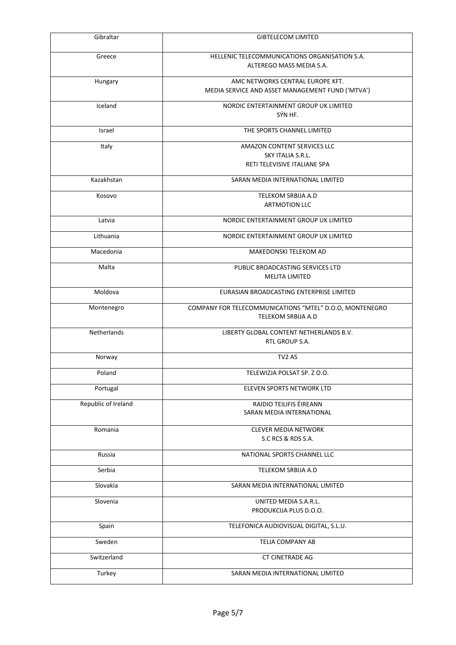| Gibraltar           | <b>GIBTELECOM LIMITED</b>                                                     |
|---------------------|-------------------------------------------------------------------------------|
| Greece              | HELLENIC TELECOMMUNICATIONS ORGANISATION S.A.                                 |
|                     | ALTEREGO MASS MEDIA S.A.                                                      |
| Hungary             | AMC NETWORKS CENTRAL EUROPE KFT.                                              |
|                     | MEDIA SERVICE AND ASSET MANAGEMENT FUND ('MTVA')                              |
| Iceland             | NORDIC ENTERTAINMENT GROUP UK LIMITED                                         |
|                     | SÝN HF.                                                                       |
|                     |                                                                               |
| Israel              | THE SPORTS CHANNEL LIMITED                                                    |
| Italy               | AMAZON CONTENT SERVICES LLC                                                   |
|                     | SKY ITALIA S.R.L.                                                             |
|                     | RETI TELEVISIVE ITALIANE SPA                                                  |
| Kazakhstan          | SARAN MEDIA INTERNATIONAL LIMITED                                             |
| Kosovo              | TELEKOM SRBIJA A.D                                                            |
|                     | <b>ARTMOTION LLC</b>                                                          |
| Latvia              | NORDIC ENTERTAINMENT GROUP UK LIMITED                                         |
|                     |                                                                               |
| Lithuania           | NORDIC ENTERTAINMENT GROUP UK LIMITED                                         |
| Macedonia           | MAKEDONSKI TELEKOM AD                                                         |
| Malta               | PUBLIC BROADCASTING SERVICES LTD                                              |
|                     | <b>MELITA LIMITED</b>                                                         |
| Moldova             | EURASIAN BROADCASTING ENTERPRISE LIMITED                                      |
| Montenegro          | COMPANY FOR TELECOMMUNICATIONS "MTEL" D.O.O, MONTENEGRO<br>TELEKOM SRBIJA A.D |
|                     |                                                                               |
| Netherlands         | LIBERTY GLOBAL CONTENT NETHERLANDS B.V.                                       |
|                     | RTL GROUP S.A.                                                                |
| Norway              | TV <sub>2</sub> AS                                                            |
| Poland              | TELEWIZJA POLSAT SP. Z O.O.                                                   |
| Portugal            | ELEVEN SPORTS NETWORK LTD                                                     |
| Republic of Ireland | RAIDIO TEILIFIS ÉIREANN                                                       |
|                     | SARAN MEDIA INTERNATIONAL                                                     |
| Romania             | <b>CLEVER MEDIA NETWORK</b>                                                   |
|                     | S.C RCS & RDS S.A.                                                            |
| Russia              | NATIONAL SPORTS CHANNEL LLC                                                   |
|                     |                                                                               |
| Serbia              | TELEKOM SRBIJA A.D                                                            |
| Slovakia            | SARAN MEDIA INTERNATIONAL LIMITED                                             |
| Slovenia            | UNITED MEDIA S.A.R.L.                                                         |
|                     | PRODUKCIJA PLUS D.O.O.                                                        |
| Spain               | TELEFONICA AUDIOVISUAL DIGITAL, S.L.U.                                        |
| Sweden              | TELIA COMPANY AB                                                              |
| Switzerland         | <b>CT CINETRADE AG</b>                                                        |
|                     |                                                                               |
| Turkey              | SARAN MEDIA INTERNATIONAL LIMITED                                             |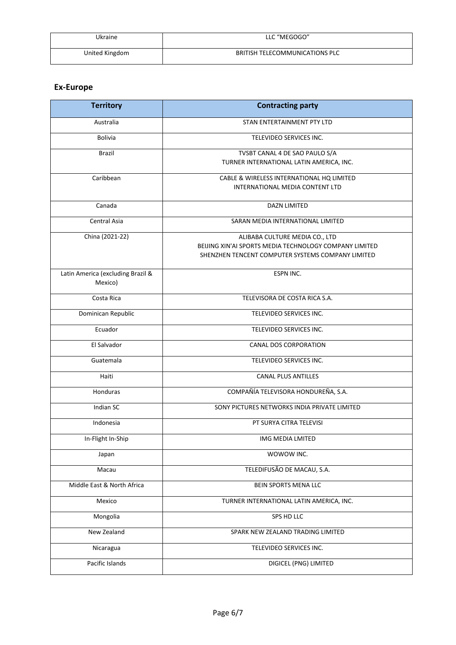| Ukraine        | LLC "MEGOGO"                   |
|----------------|--------------------------------|
| United Kingdom | BRITISH TELECOMMUNICATIONS PLC |

## **Ex-Europe**

| <b>Territory</b>                  | <b>Contracting party</b>                               |
|-----------------------------------|--------------------------------------------------------|
| Australia                         | STAN ENTERTAINMENT PTY LTD                             |
| <b>Bolivia</b>                    | TELEVIDEO SERVICES INC.                                |
| <b>Brazil</b>                     | TVSBT CANAL 4 DE SAO PAULO S/A                         |
|                                   | TURNER INTERNATIONAL LATIN AMERICA, INC.               |
| Caribbean                         | CABLE & WIRELESS INTERNATIONAL HQ LIMITED              |
|                                   | INTERNATIONAL MEDIA CONTENT LTD                        |
| Canada                            | <b>DAZN LIMITED</b>                                    |
| Central Asia                      | SARAN MEDIA INTERNATIONAL LIMITED                      |
| China (2021-22)                   | ALIBABA CULTURE MEDIA CO., LTD                         |
|                                   | BEIJING XIN'AI SPORTS MEDIA TECHNOLOGY COMPANY LIMITED |
|                                   | SHENZHEN TENCENT COMPUTER SYSTEMS COMPANY LIMITED      |
| Latin America (excluding Brazil & | ESPN INC.                                              |
| Mexico)                           |                                                        |
| Costa Rica                        | TELEVISORA DE COSTA RICA S.A.                          |
| Dominican Republic                | TELEVIDEO SERVICES INC.                                |
| Ecuador                           | TELEVIDEO SERVICES INC.                                |
| El Salvador                       | CANAL DOS CORPORATION                                  |
| Guatemala                         | TELEVIDEO SERVICES INC.                                |
| Haiti                             | <b>CANAL PLUS ANTILLES</b>                             |
| Honduras                          | COMPAÑÍA TELEVISORA HONDUREÑA, S.A.                    |
| Indian SC                         | SONY PICTURES NETWORKS INDIA PRIVATE LIMITED           |
| Indonesia                         | PT SURYA CITRA TELEVISI                                |
| In-Flight In-Ship                 | IMG MEDIA LMITED                                       |
| Japan                             | WOWOW INC.                                             |
| Macau                             | TELEDIFUSÃO DE MACAU, S.A.                             |
| Middle East & North Africa        | BEIN SPORTS MENA LLC                                   |
| Mexico                            | TURNER INTERNATIONAL LATIN AMERICA, INC.               |
| Mongolia                          | SPS HD LLC                                             |
| New Zealand                       | SPARK NEW ZEALAND TRADING LIMITED                      |
| Nicaragua                         | TELEVIDEO SERVICES INC.                                |
| Pacific Islands                   | DIGICEL (PNG) LIMITED                                  |